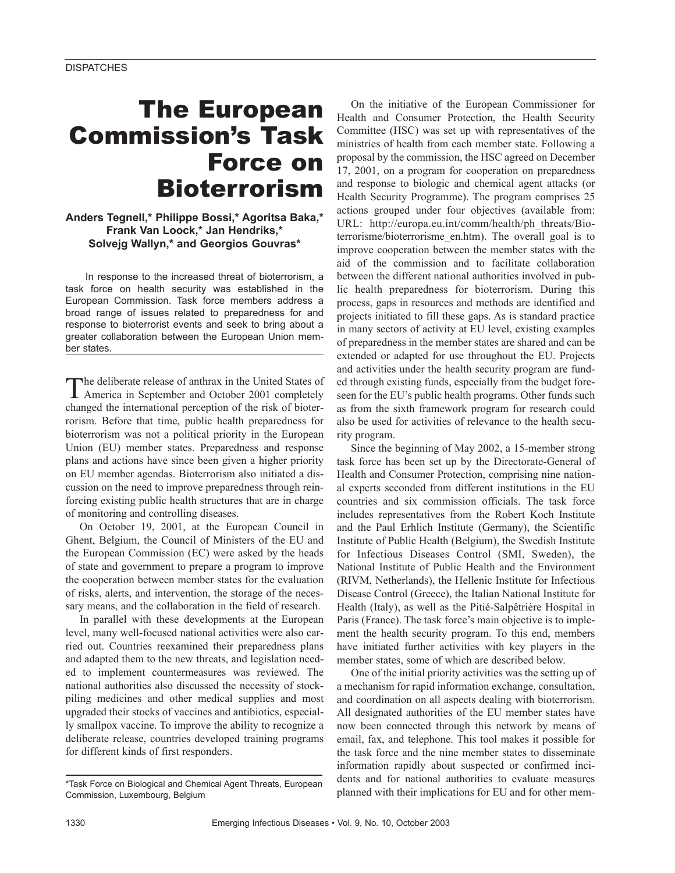## The European Commission's Task Force on Bioterrorism

## **Anders Tegnell,\* Philippe Bossi,\* Agoritsa Baka,\* Frank Van Loock,\* Jan Hendriks,\* Solvejg Wallyn,\* and Georgios Gouvras\***

In response to the increased threat of bioterrorism, a task force on health security was established in the European Commission. Task force members address a broad range of issues related to preparedness for and response to bioterrorist events and seek to bring about a greater collaboration between the European Union member states.

The deliberate release of anthrax in the United States of America in September and October 2001 completely changed the international perception of the risk of bioterrorism. Before that time, public health preparedness for bioterrorism was not a political priority in the European Union (EU) member states. Preparedness and response plans and actions have since been given a higher priority on EU member agendas. Bioterrorism also initiated a discussion on the need to improve preparedness through reinforcing existing public health structures that are in charge of monitoring and controlling diseases.

On October 19, 2001, at the European Council in Ghent, Belgium, the Council of Ministers of the EU and the European Commission (EC) were asked by the heads of state and government to prepare a program to improve the cooperation between member states for the evaluation of risks, alerts, and intervention, the storage of the necessary means, and the collaboration in the field of research.

In parallel with these developments at the European level, many well-focused national activities were also carried out. Countries reexamined their preparedness plans and adapted them to the new threats, and legislation needed to implement countermeasures was reviewed. The national authorities also discussed the necessity of stockpiling medicines and other medical supplies and most upgraded their stocks of vaccines and antibiotics, especially smallpox vaccine. To improve the ability to recognize a deliberate release, countries developed training programs for different kinds of first responders.

On the initiative of the European Commissioner for Health and Consumer Protection, the Health Security Committee (HSC) was set up with representatives of the ministries of health from each member state. Following a proposal by the commission, the HSC agreed on December 17, 2001, on a program for cooperation on preparedness and response to biologic and chemical agent attacks (or Health Security Programme). The program comprises 25 actions grouped under four objectives (available from: URL: http://europa.eu.int/comm/health/ph\_threats/Bioterrorisme/bioterrorisme\_en.htm). The overall goal is to improve cooperation between the member states with the aid of the commission and to facilitate collaboration between the different national authorities involved in public health preparedness for bioterrorism. During this process, gaps in resources and methods are identified and projects initiated to fill these gaps. As is standard practice in many sectors of activity at EU level, existing examples of preparedness in the member states are shared and can be extended or adapted for use throughout the EU. Projects and activities under the health security program are funded through existing funds, especially from the budget foreseen for the EU's public health programs. Other funds such as from the sixth framework program for research could also be used for activities of relevance to the health security program.

Since the beginning of May 2002, a 15-member strong task force has been set up by the Directorate-General of Health and Consumer Protection, comprising nine national experts seconded from different institutions in the EU countries and six commission officials. The task force includes representatives from the Robert Koch Institute and the Paul Erhlich Institute (Germany), the Scientific Institute of Public Health (Belgium), the Swedish Institute for Infectious Diseases Control (SMI, Sweden), the National Institute of Public Health and the Environment (RIVM, Netherlands), the Hellenic Institute for Infectious Disease Control (Greece), the Italian National Institute for Health (Italy), as well as the Pitié-Salpêtrière Hospital in Paris (France). The task force's main objective is to implement the health security program. To this end, members have initiated further activities with key players in the member states, some of which are described below.

One of the initial priority activities was the setting up of a mechanism for rapid information exchange, consultation, and coordination on all aspects dealing with bioterrorism. All designated authorities of the EU member states have now been connected through this network by means of email, fax, and telephone. This tool makes it possible for the task force and the nine member states to disseminate information rapidly about suspected or confirmed incidents and for national authorities to evaluate measures planned with their implications for EU and for other mem-

<sup>\*</sup>Task Force on Biological and Chemical Agent Threats, European Commission, Luxembourg, Belgium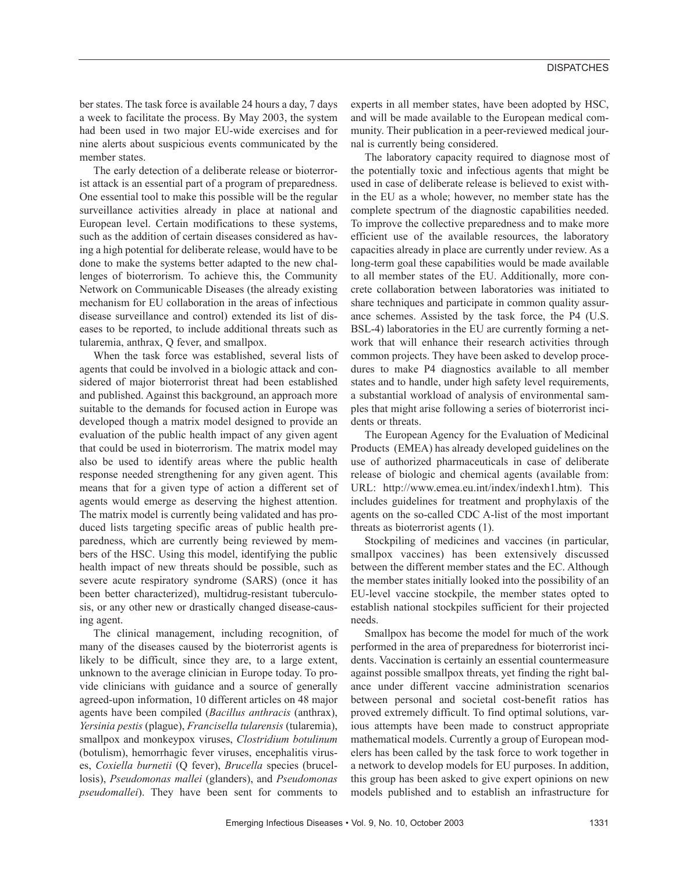ber states. The task force is available 24 hours a day, 7 days a week to facilitate the process. By May 2003, the system had been used in two major EU-wide exercises and for nine alerts about suspicious events communicated by the member states.

The early detection of a deliberate release or bioterrorist attack is an essential part of a program of preparedness. One essential tool to make this possible will be the regular surveillance activities already in place at national and European level. Certain modifications to these systems, such as the addition of certain diseases considered as having a high potential for deliberate release, would have to be done to make the systems better adapted to the new challenges of bioterrorism. To achieve this, the Community Network on Communicable Diseases (the already existing mechanism for EU collaboration in the areas of infectious disease surveillance and control) extended its list of diseases to be reported, to include additional threats such as tularemia, anthrax, Q fever, and smallpox.

When the task force was established, several lists of agents that could be involved in a biologic attack and considered of major bioterrorist threat had been established and published. Against this background, an approach more suitable to the demands for focused action in Europe was developed though a matrix model designed to provide an evaluation of the public health impact of any given agent that could be used in bioterrorism. The matrix model may also be used to identify areas where the public health response needed strengthening for any given agent. This means that for a given type of action a different set of agents would emerge as deserving the highest attention. The matrix model is currently being validated and has produced lists targeting specific areas of public health preparedness, which are currently being reviewed by members of the HSC. Using this model, identifying the public health impact of new threats should be possible, such as severe acute respiratory syndrome (SARS) (once it has been better characterized), multidrug-resistant tuberculosis, or any other new or drastically changed disease-causing agent.

The clinical management, including recognition, of many of the diseases caused by the bioterrorist agents is likely to be difficult, since they are, to a large extent, unknown to the average clinician in Europe today. To provide clinicians with guidance and a source of generally agreed-upon information, 10 different articles on 48 major agents have been compiled (*Bacillus anthracis* (anthrax), *Yersinia pestis* (plague), *Francisella tularensis* (tularemia), smallpox and monkeypox viruses, *Clostridium botulinum* (botulism), hemorrhagic fever viruses, encephalitis viruses, *Coxiella burnetii* (Q fever), *Brucella* species (brucellosis), *Pseudomonas mallei* (glanders), and *Pseudomonas pseudomallei*). They have been sent for comments to

experts in all member states, have been adopted by HSC, and will be made available to the European medical community. Their publication in a peer-reviewed medical journal is currently being considered.

The laboratory capacity required to diagnose most of the potentially toxic and infectious agents that might be used in case of deliberate release is believed to exist within the EU as a whole; however, no member state has the complete spectrum of the diagnostic capabilities needed. To improve the collective preparedness and to make more efficient use of the available resources, the laboratory capacities already in place are currently under review. As a long-term goal these capabilities would be made available to all member states of the EU. Additionally, more concrete collaboration between laboratories was initiated to share techniques and participate in common quality assurance schemes. Assisted by the task force, the P4 (U.S. BSL-4) laboratories in the EU are currently forming a network that will enhance their research activities through common projects. They have been asked to develop procedures to make P4 diagnostics available to all member states and to handle, under high safety level requirements, a substantial workload of analysis of environmental samples that might arise following a series of bioterrorist incidents or threats.

The European Agency for the Evaluation of Medicinal Products (EMEA) has already developed guidelines on the use of authorized pharmaceuticals in case of deliberate release of biologic and chemical agents (available from: URL: http://www.emea.eu.int/index/indexh1.htm). This includes guidelines for treatment and prophylaxis of the agents on the so-called CDC A-list of the most important threats as bioterrorist agents (1).

Stockpiling of medicines and vaccines (in particular, smallpox vaccines) has been extensively discussed between the different member states and the EC. Although the member states initially looked into the possibility of an EU-level vaccine stockpile, the member states opted to establish national stockpiles sufficient for their projected needs.

Smallpox has become the model for much of the work performed in the area of preparedness for bioterrorist incidents. Vaccination is certainly an essential countermeasure against possible smallpox threats, yet finding the right balance under different vaccine administration scenarios between personal and societal cost-benefit ratios has proved extremely difficult. To find optimal solutions, various attempts have been made to construct appropriate mathematical models. Currently a group of European modelers has been called by the task force to work together in a network to develop models for EU purposes. In addition, this group has been asked to give expert opinions on new models published and to establish an infrastructure for